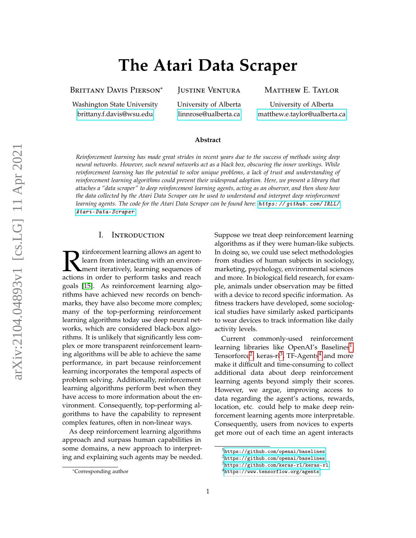# **The Atari Data Scraper**

BRITTANY DAVIS PIERSON<sup>\*</sup>

Washington State University [brittany.f.davis@wsu.edu](mailto:brittany.f.davis@wsu.edu)

Justine Ventura

University of Alberta [linnrose@ualberta.ca](mailto:linnrose@ualberta.ca)

Matthew E. Taylor

University of Alberta [matthew.e.taylor@ualberta.ca](mailto:matthew.e.taylor@ualberta.ca)

#### **Abstract**

*Reinforcement learning has made great strides in recent years due to the success of methods using deep neural networks. However, such neural networks act as a black box, obscuring the inner workings. While reinforcement learning has the potential to solve unique problems, a lack of trust and understanding of reinforcement learning algorithms could prevent their widespread adoption. Here, we present a library that attaches a "data scraper" to deep reinforcement learning agents, acting as an observer, and then show how the data collected by the Atari Data Scraper can be used to understand and interpret deep reinforcement learning agents. The code for the Atari Data Scraper can be found here:* [https: // github. com/ IRLL/](https://github.com/IRLL/Atari-Data-Scraper) [Atari-Data-Scraper](https://github.com/IRLL/Atari-Data-Scraper) *.*

### I. Introduction

**Example 18 Set Strains in the Set Strains in order to perform tasks and reach vectors** in order to perform tasks and reach einforcement learning allows an agent to learn from interacting with an environment iteratively, learning sequences of goals [\[15\]](#page-8-0). As reinforcement learning algorithms have achieved new records on benchmarks, they have also become more complex; many of the top-performing reinforcement learning algorithms today use deep neural networks, which are considered black-box algorithms. It is unlikely that significantly less complex or more transparent reinforcement learning algorithms will be able to achieve the same performance, in part because reinforcement learning incorporates the temporal aspects of problem solving. Additionally, reinforcement learning algorithms perform best when they have access to more information about the environment. Consequently, top-performing algorithms to have the capability to represent complex features, often in non-linear ways.

As deep reinforcement learning algorithms approach and surpass human capabilities in some domains, a new approach to interpreting and explaining such agents may be needed. Suppose we treat deep reinforcement learning algorithms as if they were human-like subjects. In doing so, we could use select methodologies from studies of human subjects in sociology, marketing, psychology, environmental sciences and more. In biological field research, for example, animals under observation may be fitted with a device to record specific information. As fitness trackers have developed, some sociological studies have similarly asked participants to wear devices to track information like daily activity levels.

Current commonly-used reinforcement learning libraries like OpenAI's Baselines<sup>[1](#page-0-0)</sup>, Tensorforce<sup>[2](#page-0-1)</sup>, keras-rl<sup>[3](#page-0-2)</sup>, TF-Agents<sup>[4](#page-0-3)</sup> and more make it difficult and time-consuming to collect additional data about deep reinforcement learning agents beyond simply their scores. However, we argue, improving access to data regarding the agent's actions, rewards, location, etc. could help to make deep reinforcement learning agents more interpretable. Consequently, users from novices to experts get more out of each time an agent interacts

<sup>\*</sup>Corresponding author

<span id="page-0-0"></span><sup>1</sup><https://github.com/openai/baselines>

<span id="page-0-1"></span><sup>2</sup><https://github.com/openai/baselines>

<span id="page-0-2"></span> $^3$ <https://github.com/keras-rl/keras-rl>

<span id="page-0-3"></span><sup>4</sup><https://www.tensorflow.org/agents>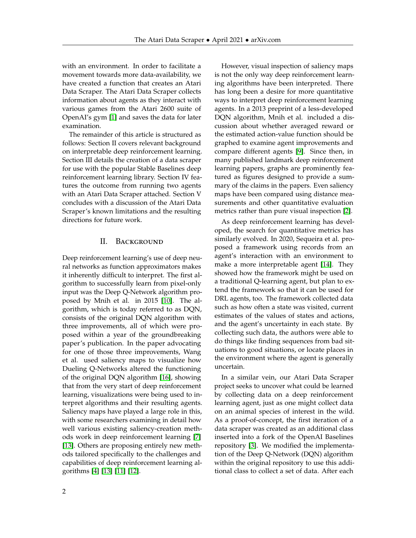with an environment. In order to facilitate a movement towards more data-availability, we have created a function that creates an Atari Data Scraper. The Atari Data Scraper collects information about agents as they interact with various games from the Atari 2600 suite of OpenAI's gym [\[1\]](#page-7-0) and saves the data for later examination.

The remainder of this article is structured as follows: Section II covers relevant background on interpretable deep reinforcement learning. Section III details the creation of a data scraper for use with the popular Stable Baselines deep reinforcement learning library. Section IV features the outcome from running two agents with an Atari Data Scraper attached. Section V concludes with a discussion of the Atari Data Scraper's known limitations and the resulting directions for future work.

### II. Background

Deep reinforcement learning's use of deep neural networks as function approximators makes it inherently difficult to interpret. The first algorithm to successfully learn from pixel-only input was the Deep Q-Network algorithm proposed by Mnih et al. in 2015 [\[10\]](#page-8-1). The algorithm, which is today referred to as DQN, consists of the original DQN algorithm with three improvements, all of which were proposed within a year of the groundbreaking paper's publication. In the paper advocating for one of those three improvements, Wang et al. used saliency maps to visualize how Dueling Q-Networks altered the functioning of the original DQN algorithm [\[16\]](#page-8-2), showing that from the very start of deep reinforcement learning, visualizations were being used to interpret algorithms and their resulting agents. Saliency maps have played a large role in this, with some researchers examining in detail how well various existing saliency-creation methods work in deep reinforcement learning [\[7\]](#page-8-3) [\[13\]](#page-8-4). Others are proposing entirely new methods tailored specifically to the challenges and capabilities of deep reinforcement learning algorithms [\[4\]](#page-8-5) [\[13\]](#page-8-4) [\[11\]](#page-8-6) [\[12\]](#page-8-7).

However, visual inspection of saliency maps is not the only way deep reinforcement learning algorithms have been interpreted. There has long been a desire for more quantitative ways to interpret deep reinforcement learning agents. In a 2013 preprint of a less-developed DQN algorithm, Mnih et al. included a discussion about whether averaged reward or the estimated action-value function should be graphed to examine agent improvements and compare different agents [\[9\]](#page-8-8). Since then, in many published landmark deep reinforcement learning papers, graphs are prominently featured as figures designed to provide a summary of the claims in the papers. Even saliency maps have been compared using distance measurements and other quantitative evaluation metrics rather than pure visual inspection [\[2\]](#page-8-9).

As deep reinforcement learning has developed, the search for quantitative metrics has similarly evolved. In 2020, Sequeira et al. proposed a framework using records from an agent's interaction with an environment to make a more interpretable agent [\[14\]](#page-8-10). They showed how the framework might be used on a traditional Q-learning agent, but plan to extend the framework so that it can be used for DRL agents, too. The framework collected data such as how often a state was visited, current estimates of the values of states and actions, and the agent's uncertainty in each state. By collecting such data, the authors were able to do things like finding sequences from bad situations to good situations, or locate places in the environment where the agent is generally uncertain.

In a similar vein, our Atari Data Scraper project seeks to uncover what could be learned by collecting data on a deep reinforcement learning agent, just as one might collect data on an animal species of interest in the wild. As a proof-of-concept, the first iteration of a data scraper was created as an additional class inserted into a fork of the OpenAI Baselines repository [\[3\]](#page-8-11). We modified the implementation of the Deep Q-Network (DQN) algorithm within the original repository to use this additional class to collect a set of data. After each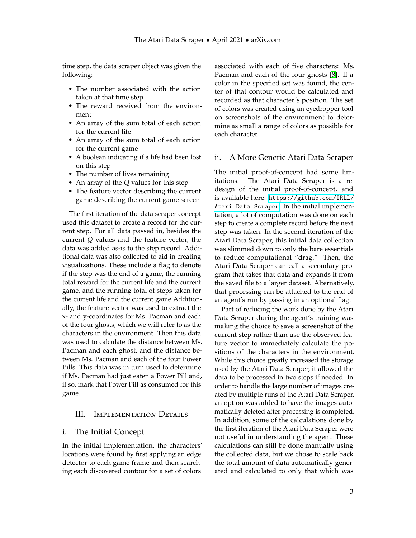time step, the data scraper object was given the following:

- The number associated with the action taken at that time step
- The reward received from the environment
- An array of the sum total of each action for the current life
- An array of the sum total of each action for the current game
- A boolean indicating if a life had been lost on this step
- The number of lives remaining
- An array of the *Q* values for this step
- The feature vector describing the current game describing the current game screen

The first iteration of the data scraper concept used this dataset to create a record for the current step. For all data passed in, besides the current *Q* values and the feature vector, the data was added as-is to the step record. Additional data was also collected to aid in creating visualizations. These include a flag to denote if the step was the end of a game, the running total reward for the current life and the current game, and the running total of steps taken for the current life and the current game Additionally, the feature vector was used to extract the x- and y-coordinates for Ms. Pacman and each of the four ghosts, which we will refer to as the characters in the environment. Then this data was used to calculate the distance between Ms. Pacman and each ghost, and the distance between Ms. Pacman and each of the four Power Pills. This data was in turn used to determine if Ms. Pacman had just eaten a Power Pill and, if so, mark that Power Pill as consumed for this game.

## III. IMPLEMENTATION DETAILS

#### i. The Initial Concept

In the initial implementation, the characters' locations were found by first applying an edge detector to each game frame and then searching each discovered contour for a set of colors

associated with each of five characters: Ms. Pacman and each of the four ghosts [\[8\]](#page-8-12). If a color in the specified set was found, the center of that contour would be calculated and recorded as that character's position. The set of colors was created using an eyedropper tool on screenshots of the environment to determine as small a range of colors as possible for each character.

#### ii. A More Generic Atari Data Scraper

The initial proof-of-concept had some limitations. The Atari Data Scraper is a redesign of the initial proof-of-concept, and is available here: [https://github.com/IRLL/](https://github.com/IRLL/Atari-Data-Scraper) [Atari-Data-Scraper](https://github.com/IRLL/Atari-Data-Scraper). In the initial implementation, a lot of computation was done on each step to create a complete record before the next step was taken. In the second iteration of the Atari Data Scraper, this initial data collection was slimmed down to only the bare essentials to reduce computational "drag." Then, the Atari Data Scraper can call a secondary program that takes that data and expands it from the saved file to a larger dataset. Alternatively, that processing can be attached to the end of an agent's run by passing in an optional flag.

Part of reducing the work done by the Atari Data Scraper during the agent's training was making the choice to save a screenshot of the current step rather than use the observed feature vector to immediately calculate the positions of the characters in the environment. While this choice greatly increased the storage used by the Atari Data Scraper, it allowed the data to be processed in two steps if needed. In order to handle the large number of images created by multiple runs of the Atari Data Scraper, an option was added to have the images automatically deleted after processing is completed. In addition, some of the calculations done by the first iteration of the Atari Data Scraper were not useful in understanding the agent. These calculations can still be done manually using the collected data, but we chose to scale back the total amount of data automatically generated and calculated to only that which was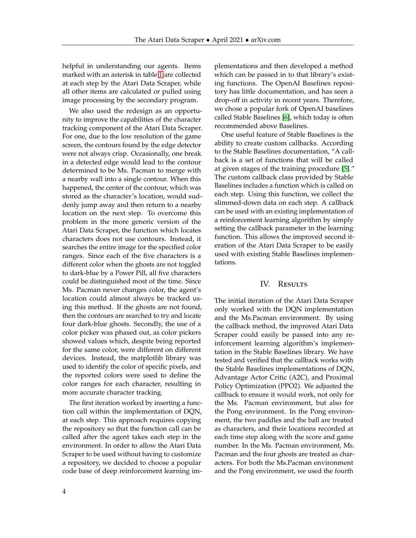helpful in understanding our agents. Items marked with an asterisk in table [1](#page-4-0) are collected at each step by the Atari Data Scraper, while all other items are calculated or pulled using image processing by the secondary program.

We also used the redesign as an opportunity to improve the capabilities of the character tracking component of the Atari Data Scraper. For one, due to the low resolution of the game screen, the contours found by the edge detector were not always crisp. Occasionally, one break in a detected edge would lead to the contour determined to be Ms. Pacman to merge with a nearby wall into a single contour. When this happened, the center of the contour, which was stored as the character's location, would suddenly jump away and then return to a nearby location on the next step. To overcome this problem in the more generic version of the Atari Data Scraper, the function which locates characters does not use contours. Instead, it searches the entire image for the specified color ranges. Since each of the five characters is a different color when the ghosts are not toggled to dark-blue by a Power Pill, all five characters could be distinguished most of the time. Since Ms. Pacman never changes color, the agent's location could almost always be tracked using this method. If the ghosts are not found, then the contours are searched to try and locate four dark-blue ghosts. Secondly, the use of a color picker was phased out, as color pickers showed values which, despite being reported for the same color, were different on different devices. Instead, the matplotlib library was used to identify the color of specific pixels, and the reported colors were used to define the color ranges for each character, resulting in more accurate character tracking.

The first iteration worked by inserting a function call within the implementation of DQN, at each step. This approach requires copying the repository so that the function call can be called after the agent takes each step in the environment. In order to allow the Atari Data Scraper to be used without having to customize a repository, we decided to choose a popular code base of deep reinforcement learning implementations and then developed a method which can be passed in to that library's existing functions. The OpenAI Baselines repository has little documentation, and has seen a drop-off in activity in recent years. Therefore, we chose a popular fork of OpenAI baselines called Stable Baselines [\[6\]](#page-8-13), which today is often recommended above Baselines.

One useful feature of Stable Baselines is the ability to create custom callbacks. According to the Stable Baselines documentation, "A callback is a set of functions that will be called at given stages of the training procedure [\[5\]](#page-8-14)." The custom callback class provided by Stable Baselines includes a function which is called on each step. Using this function, we collect the slimmed-down data on each step. A callback can be used with an existing implementation of a reinforcement learning algorithm by simply setting the callback parameter in the learning function. This allows the improved second iteration of the Atari Data Scraper to be easily used with existing Stable Baselines implementations.

#### IV. RESULTS

The initial iteration of the Atari Data Scraper only worked with the DQN implementation and the Ms.Pacman environment. By using the callback method, the improved Atari Data Scraper could easily be passed into any reinforcement learning algorithm's implementation in the Stable Baselines library. We have tested and verified that the callback works with the Stable Baselines implementations of DQN, Advantage Actor Critic (A2C), and Proximal Policy Optimization (PPO2). We adjusted the callback to ensure it would work, not only for the Ms. Pacman environment, but also for the Pong environment. In the Pong environment, the two paddles and the ball are treated as characters, and their locations recorded at each time step along with the score and game number. In the Ms. Pacman environment, Ms. Pacman and the four ghosts are treated as characters. For both the Ms.Pacman environment and the Pong environment, we used the fourth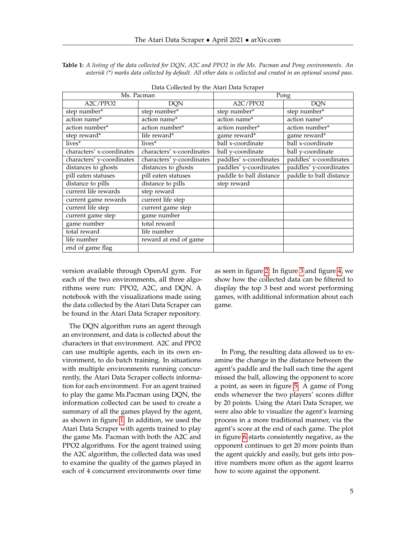<span id="page-4-0"></span>**Table 1:** *A listing of the data collected for DQN, A2C and PPO2 in the Ms. Pacman and Pong environments. An asterisk (\*) marks data collected by default. All other data is collected and created in an optional second pass.*

| Ms. Pacman                |                           | Pong                    |                         |
|---------------------------|---------------------------|-------------------------|-------------------------|
| A2C/PPO2                  | <b>DQN</b>                | A2C/PPO2                | <b>DQN</b>              |
| step number*              | step number*              | step number*            | step number*            |
| action name*              | action name*              | action name*            | action name*            |
| action number*            | action number*            | action number*          | action number*          |
| step reward*              | life reward*              | game reward*            | game reward*            |
| lives*                    | lives*                    | ball x-coordinate       | ball x-coordinate       |
| characters' x-coordinates | characters' x-coordinates | ball y-coordinate       | ball y-coordinate       |
| characters' y-coordinates | characters' y-coordinates | paddles' x-coordinates  | paddles' x-coordinates  |
| distances to ghosts       | distances to ghosts       | paddles' y-coordinates  | paddles' y-coordinates  |
| pill eaten statuses       | pill eaten statuses       | paddle to ball distance | paddle to ball distance |
| distance to pills         | distance to pills         | step reward             |                         |
| current life rewards      | step reward               |                         |                         |
| current game rewards      | current life step         |                         |                         |
| current life step         | current game step         |                         |                         |
| current game step         | game number               |                         |                         |
| game number               | total reward              |                         |                         |
| total reward              | life number               |                         |                         |
| life number               | reward at end of game     |                         |                         |
| end of game flag          |                           |                         |                         |

Data Collected by the Atari Data Scraper

version available through OpenAI gym. For each of the two environments, all three algorithms were run: PPO2, A2C, and DQN. A notebook with the visualizations made using the data collected by the Atari Data Scraper can be found in the Atari Data Scraper repository.

The DQN algorithm runs an agent through an environment, and data is collected about the characters in that environment. A2C and PPO2 can use multiple agents, each in its own environment, to do batch training. In situations with multiple environments running concurrently, the Atari Data Scraper collects information for each environment. For an agent trained to play the game Ms.Pacman using DQN, the information collected can be used to create a summary of all the games played by the agent, as shown in figure [1.](#page-5-0) In addition, we used the Atari Data Scraper with agents trained to play the game Ms. Pacman with both the A2C and PPO2 algorithms. For the agent trained using the A2C algorithm, the collected data was used to examine the quality of the games played in each of 4 concurrent environments over time

as seen in figure [2.](#page-6-0) In figure [3](#page-6-1) and figure [4,](#page-6-2) we show how the collected data can be filtered to display the top 3 best and worst performing games, with additional information about each game.

In Pong, the resulting data allowed us to examine the change in the distance between the agent's paddle and the ball each time the agent missed the ball, allowing the opponent to score a point, as seen in figure [5.](#page-7-1) A game of Pong ends whenever the two players' scores differ by 20 points. Using the Atari Data Scraper, we were also able to visualize the agent's learning process in a more traditional manner, via the agent's score at the end of each game. The plot in figure [6](#page-7-2) starts consistently negative, as the opponent continues to get 20 more points than the agent quickly and easily, but gets into positive numbers more often as the agent learns how to score against the opponent.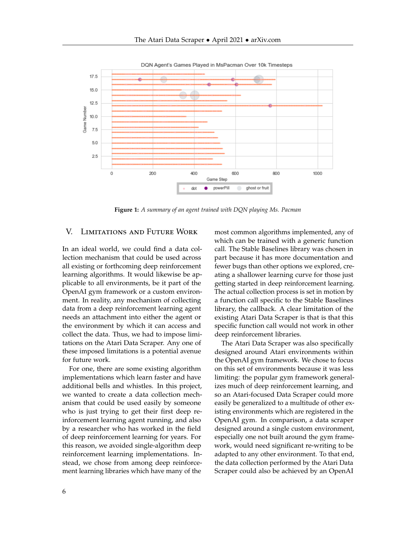<span id="page-5-0"></span>

DQN Agent's Games Played in MsPacman Over 10k Timesteps

**Figure 1:** *A summary of an agent trained with DQN playing Ms. Pacman*

## V. Limitations and Future Work

In an ideal world, we could find a data collection mechanism that could be used across all existing or forthcoming deep reinforcement learning algorithms. It would likewise be applicable to all environments, be it part of the OpenAI gym framework or a custom environment. In reality, any mechanism of collecting data from a deep reinforcement learning agent needs an attachment into either the agent or the environment by which it can access and collect the data. Thus, we had to impose limitations on the Atari Data Scraper. Any one of these imposed limitations is a potential avenue for future work.

For one, there are some existing algorithm implementations which learn faster and have additional bells and whistles. In this project, we wanted to create a data collection mechanism that could be used easily by someone who is just trying to get their first deep reinforcement learning agent running, and also by a researcher who has worked in the field of deep reinforcement learning for years. For this reason, we avoided single-algorithm deep reinforcement learning implementations. Instead, we chose from among deep reinforcement learning libraries which have many of the most common algorithms implemented, any of which can be trained with a generic function call. The Stable Baselines library was chosen in part because it has more documentation and fewer bugs than other options we explored, creating a shallower learning curve for those just getting started in deep reinforcement learning. The actual collection process is set in motion by a function call specific to the Stable Baselines library, the callback. A clear limitation of the existing Atari Data Scraper is that is that this specific function call would not work in other deep reinforcement libraries.

The Atari Data Scraper was also specifically designed around Atari environments within the OpenAI gym framework. We chose to focus on this set of environments because it was less limiting: the popular gym framework generalizes much of deep reinforcement learning, and so an Atari-focused Data Scraper could more easily be generalized to a multitude of other existing environments which are registered in the OpenAI gym. In comparison, a data scraper designed around a single custom environment, especially one not built around the gym framework, would need significant re-writing to be adapted to any other environment. To that end, the data collection performed by the Atari Data Scraper could also be achieved by an OpenAI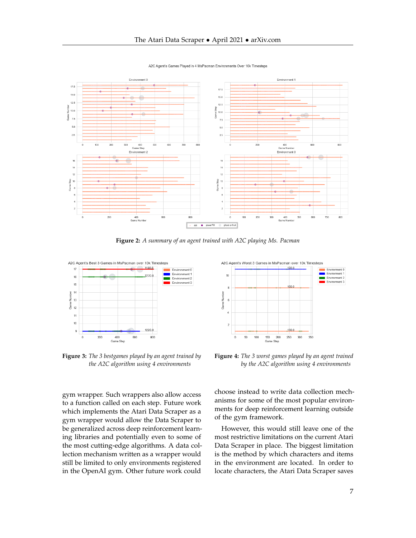<span id="page-6-0"></span>

A2C Agent's Games Played in 4 MsPacman Environments Over 10k Timesteps

**Figure 2:** *A summary of an agent trained with A2C playing Ms. Pacman*

<span id="page-6-1"></span>

**Figure 3:** *The 3 bestgames played by an agent trained by the A2C algorithm using 4 environments*

gym wrapper. Such wrappers also allow access to a function called on each step. Future work which implements the Atari Data Scraper as a gym wrapper would allow the Data Scraper to be generalized across deep reinforcement learning libraries and potentially even to some of the most cutting-edge algorithms. A data collection mechanism written as a wrapper would still be limited to only environments registered in the OpenAI gym. Other future work could

<span id="page-6-2"></span>

**Figure 4:** *The 3 worst games played by an agent trained by the A2C algorithm using 4 environments*

choose instead to write data collection mechanisms for some of the most popular environments for deep reinforcement learning outside of the gym framework.

However, this would still leave one of the most restrictive limitations on the current Atari Data Scraper in place. The biggest limitation is the method by which characters and items in the environment are located. In order to locate characters, the Atari Data Scraper saves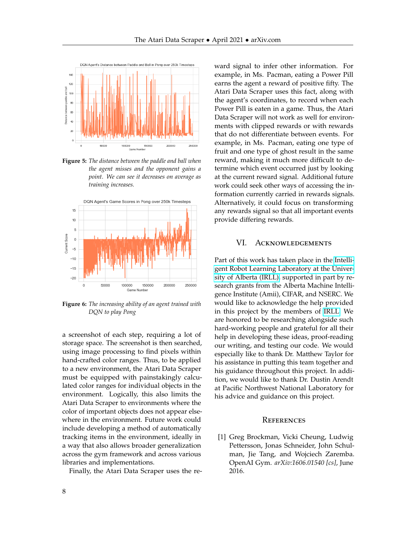<span id="page-7-1"></span>

**Figure 5:** *The distance between the paddle and ball when the agent misses and the opponent gains a point. We can see it decreases on average as training increases.*

<span id="page-7-2"></span>

**Figure 6:** *The increasing ability of an agent trained with DQN to play Pong*

a screenshot of each step, requiring a lot of storage space. The screenshot is then searched, using image processing to find pixels within hand-crafted color ranges. Thus, to be applied to a new environment, the Atari Data Scraper must be equipped with painstakingly calculated color ranges for individual objects in the environment. Logically, this also limits the Atari Data Scraper to environments where the color of important objects does not appear elsewhere in the environment. Future work could include developing a method of automatically tracking items in the environment, ideally in a way that also allows broader generalization across the gym framework and across various libraries and implementations.

Finally, the Atari Data Scraper uses the re-

ward signal to infer other information. For example, in Ms. Pacman, eating a Power Pill earns the agent a reward of positive fifty. The Atari Data Scraper uses this fact, along with the agent's coordinates, to record when each Power Pill is eaten in a game. Thus, the Atari Data Scraper will not work as well for environments with clipped rewards or with rewards that do not differentiate between events. For example, in Ms. Pacman, eating one type of fruit and one type of ghost result in the same reward, making it much more difficult to determine which event occurred just by looking at the current reward signal. Additional future work could seek other ways of accessing the information currently carried in rewards signals. Alternatively, it could focus on transforming any rewards signal so that all important events provide differing rewards.

#### VI. Acknowledgements

Part of this work has taken place in the [Intelli](https://irll.ca/)[gent Robot Learning Laboratory at the Univer](https://irll.ca/)[sity of Alberta \(IRLL\),](https://irll.ca/) supported in part by research grants from the Alberta Machine Intelligence Institute (Amii), CIFAR, and NSERC. We would like to acknowledge the help provided in this project by the members of [IRLL.](https://irll.ca/) We are honored to be researching alongside such hard-working people and grateful for all their help in developing these ideas, proof-reading our writing, and testing our code. We would especially like to thank Dr. Matthew Taylor for his assistance in putting this team together and his guidance throughout this project. In addition, we would like to thank Dr. Dustin Arendt at Pacific Northwest National Laboratory for his advice and guidance on this project.

#### **REFERENCES**

<span id="page-7-0"></span>[1] Greg Brockman, Vicki Cheung, Ludwig Pettersson, Jonas Schneider, John Schulman, Jie Tang, and Wojciech Zaremba. OpenAI Gym. *arXiv:1606.01540 [cs]*, June 2016.